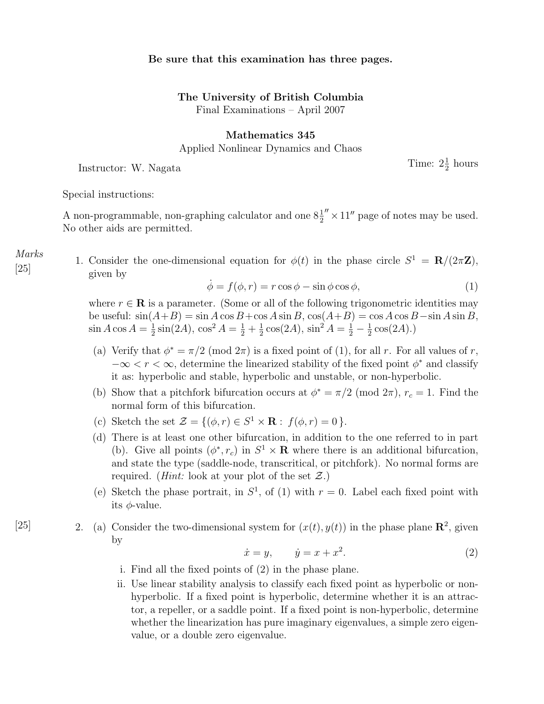## Be sure that this examination has three pages.

## The University of British Columbia

Final Examinations – April 2007

## Mathematics 345

Applied Nonlinear Dynamics and Chaos

Instructor: W. Nagata

 $\frac{1}{2}$  hours

Special instructions:

Marks [25]

A non-programmable, non-graphing calculator and one  $8\frac{1}{2}'' \times 11''$  page of notes may be used. No other aids are permitted.

1. Consider the one-dimensional equation for  $\phi(t)$  in the phase circle  $S^1 = \mathbf{R}/(2\pi\mathbf{Z})$ , given by

$$
\dot{\phi} = f(\phi, r) = r \cos \phi - \sin \phi \cos \phi,\tag{1}
$$

where  $r \in \mathbf{R}$  is a parameter. (Some or all of the following trigonometric identities may be useful:  $sin(A+B) = sin A cos B + cos A sin B$ ,  $cos(A+B) = cos A cos B - sin A sin B$ ,  $\sin A \cos A = \frac{1}{2}$  $\frac{1}{2}\sin(2A), \cos^2 A = \frac{1}{2} + \frac{1}{2}$  $\frac{1}{2}\cos(2A), \sin^2 A = \frac{1}{2} - \frac{1}{2}$  $\frac{1}{2}\cos(2A).$ 

- (a) Verify that  $\phi^* = \pi/2 \pmod{2\pi}$  is a fixed point of (1), for all r. For all values of r,  $-\infty < r < \infty$ , determine the linearized stability of the fixed point  $\phi^*$  and classify it as: hyperbolic and stable, hyperbolic and unstable, or non-hyperbolic.
- (b) Show that a pitchfork bifurcation occurs at  $\phi^* = \pi/2 \pmod{2\pi}$ ,  $r_c = 1$ . Find the normal form of this bifurcation.
- (c) Sketch the set  $\mathcal{Z} = \{(\phi, r) \in S^1 \times \mathbf{R} : f(\phi, r) = 0\}.$
- (d) There is at least one other bifurcation, in addition to the one referred to in part (b). Give all points  $(\phi^*, r_c)$  in  $S^1 \times \mathbf{R}$  where there is an additional bifurcation, and state the type (saddle-node, transcritical, or pitchfork). No normal forms are required. (*Hint:* look at your plot of the set  $\mathcal{Z}$ .)
- (e) Sketch the phase portrait, in  $S^1$ , of (1) with  $r = 0$ . Label each fixed point with its  $\phi$ -value.
- [25] 2. (a) Consider the two-dimensional system for  $(x(t), y(t))$  in the phase plane  $\mathbb{R}^2$ , given by

$$
\dot{x} = y, \qquad \dot{y} = x + x^2. \tag{2}
$$

- i. Find all the fixed points of (2) in the phase plane.
- ii. Use linear stability analysis to classify each fixed point as hyperbolic or nonhyperbolic. If a fixed point is hyperbolic, determine whether it is an attractor, a repeller, or a saddle point. If a fixed point is non-hyperbolic, determine whether the linearization has pure imaginary eigenvalues, a simple zero eigenvalue, or a double zero eigenvalue.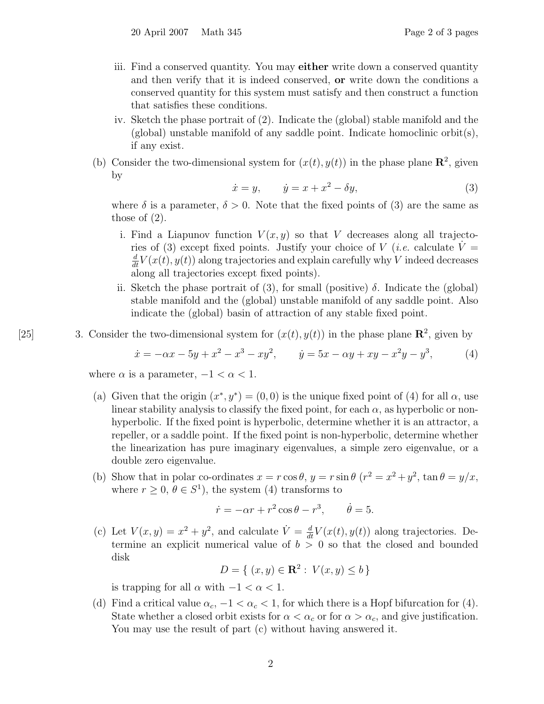- iii. Find a conserved quantity. You may **either** write down a conserved quantity and then verify that it is indeed conserved, or write down the conditions a conserved quantity for this system must satisfy and then construct a function that satisfies these conditions.
- iv. Sketch the phase portrait of (2). Indicate the (global) stable manifold and the  $(global)$  unstable manifold of any saddle point. Indicate homoclinic orbit(s), if any exist.
- (b) Consider the two-dimensional system for  $(x(t), y(t))$  in the phase plane  $\mathbb{R}^2$ , given by

$$
\dot{x} = y, \qquad \dot{y} = x + x^2 - \delta y,\tag{3}
$$

where  $\delta$  is a parameter,  $\delta > 0$ . Note that the fixed points of (3) are the same as those of (2).

- i. Find a Liapunov function  $V(x, y)$  so that V decreases along all trajectories of (3) except fixed points. Justify your choice of V (*i.e.* calculate  $V =$  $\frac{d}{dt}V(x(t), y(t))$  along trajectories and explain carefully why V indeed decreases along all trajectories except fixed points).
- ii. Sketch the phase portrait of (3), for small (positive)  $\delta$ . Indicate the (global) stable manifold and the (global) unstable manifold of any saddle point. Also indicate the (global) basin of attraction of any stable fixed point.
- [25] 3. Consider the two-dimensional system for  $(x(t), y(t))$  in the phase plane  $\mathbb{R}^2$ , given by

$$
\dot{x} = -\alpha x - 5y + x^2 - x^3 - xy^2, \qquad \dot{y} = 5x - \alpha y + xy - x^2y - y^3,\tag{4}
$$

where  $\alpha$  is a parameter,  $-1 < \alpha < 1$ .

- (a) Given that the origin  $(x^*, y^*) = (0, 0)$  is the unique fixed point of (4) for all  $\alpha$ , use linear stability analysis to classify the fixed point, for each  $\alpha$ , as hyperbolic or nonhyperbolic. If the fixed point is hyperbolic, determine whether it is an attractor, a repeller, or a saddle point. If the fixed point is non-hyperbolic, determine whether the linearization has pure imaginary eigenvalues, a simple zero eigenvalue, or a double zero eigenvalue.
- (b) Show that in polar co-ordinates  $x = r \cos \theta$ ,  $y = r \sin \theta$   $(r^2 = x^2 + y^2$ ,  $\tan \theta = y/x$ , where  $r \geq 0$ ,  $\theta \in S^1$ , the system (4) transforms to

$$
\dot{r} = -\alpha r + r^2 \cos \theta - r^3, \qquad \dot{\theta} = 5.
$$

(c) Let  $V(x, y) = x^2 + y^2$ , and calculate  $\dot{V} = \frac{d}{dt}V(x(t), y(t))$  along trajectories. Determine an explicit numerical value of  $b > 0$  so that the closed and bounded disk

$$
D = \{ (x, y) \in \mathbf{R}^2 : V(x, y) \le b \}
$$

is trapping for all  $\alpha$  with  $-1 < \alpha < 1$ .

(d) Find a critical value  $\alpha_c$ ,  $-1 < \alpha_c < 1$ , for which there is a Hopf bifurcation for (4). State whether a closed orbit exists for  $\alpha < \alpha_c$  or for  $\alpha > \alpha_c$ , and give justification. You may use the result of part (c) without having answered it.